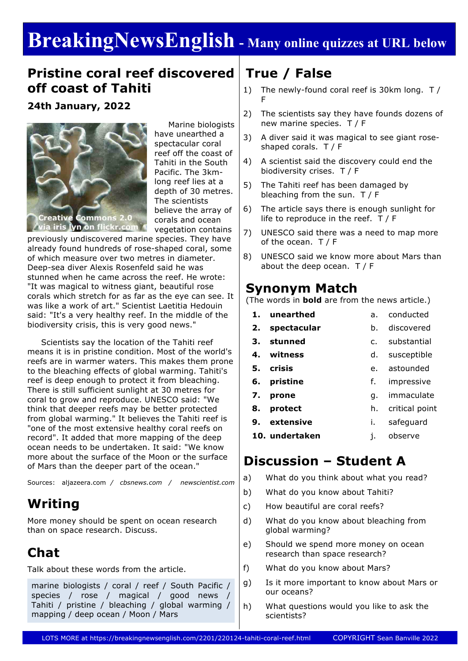# **BreakingNewsEnglish - Many online quizzes at URL below**

### **Pristine coral reef discovered off coast of Tahiti**

**24th January, 2022**



 Marine biologists have unearthed a spectacular coral reef off the coast of Tahiti in the South Pacific. The 3kmlong reef lies at a depth of 30 metres. The scientists believe the array of corals and ocean vegetation contains

previously undiscovered marine species. They have already found hundreds of rose-shaped coral, some of which measure over two metres in diameter. Deep-sea diver Alexis Rosenfeld said he was stunned when he came across the reef. He wrote: "It was magical to witness giant, beautiful rose corals which stretch for as far as the eye can see. It was like a work of art." Scientist Laetitia Hedouin said: "It's a very healthy reef. In the middle of the biodiversity crisis, this is very good news."

 Scientists say the location of the Tahiti reef means it is in pristine condition. Most of the world's reefs are in warmer waters. This makes them prone to the bleaching effects of global warming. Tahiti's reef is deep enough to protect it from bleaching. There is still sufficient sunlight at 30 metres for coral to grow and reproduce. UNESCO said: "We think that deeper reefs may be better protected from global warming." It believes the Tahiti reef is "one of the most extensive healthy coral reefs on record". It added that more mapping of the deep ocean needs to be undertaken. It said: "We know more about the surface of the Moon or the surface of Mars than the deeper part of the ocean."

Sources: aljazeera.com */ cbsnews.com / newscientist.com*

# **Writing**

More money should be spent on ocean research than on space research. Discuss.

# **Chat**

Talk about these words from the article.

marine biologists / coral / reef / South Pacific / species / rose / magical / good news / Tahiti / pristine / bleaching / global warming / mapping / deep ocean / Moon / Mars

# **True / False**

- 1) The newly-found coral reef is 30km long. T / F
- 2) The scientists say they have founds dozens of new marine species. T / F
- 3) A diver said it was magical to see giant roseshaped corals. T / F
- 4) A scientist said the discovery could end the biodiversity crises. T / F
- 5) The Tahiti reef has been damaged by bleaching from the sun. T / F
- 6) The article says there is enough sunlight for life to reproduce in the reef. T / F
- 7) UNESCO said there was a need to map more of the ocean. T / F
- 8) UNESCO said we know more about Mars than about the deep ocean. T / F

### **Synonym Match**

(The words in **bold** are from the news article.)

- **1. unearthed 2. spectacular 3. stunned** a. conducted b. discovered c. substantial
- **4. witness** d. susceptible
- **5. crisis** e. astounded
- **6. pristine** f. impressive
- **7. prone** g. immaculate
- **8. protect** h. critical point
- **9. extensive** i. safeguard
- **10. undertaken** j. observe

### **Discussion – Student A**

- a) What do you think about what you read?
- b) What do you know about Tahiti?
- c) How beautiful are coral reefs?
- d) What do you know about bleaching from global warming?
- e) Should we spend more money on ocean research than space research?
- f) What do you know about Mars?
- g) Is it more important to know about Mars or our oceans?
- h) What questions would you like to ask the scientists?